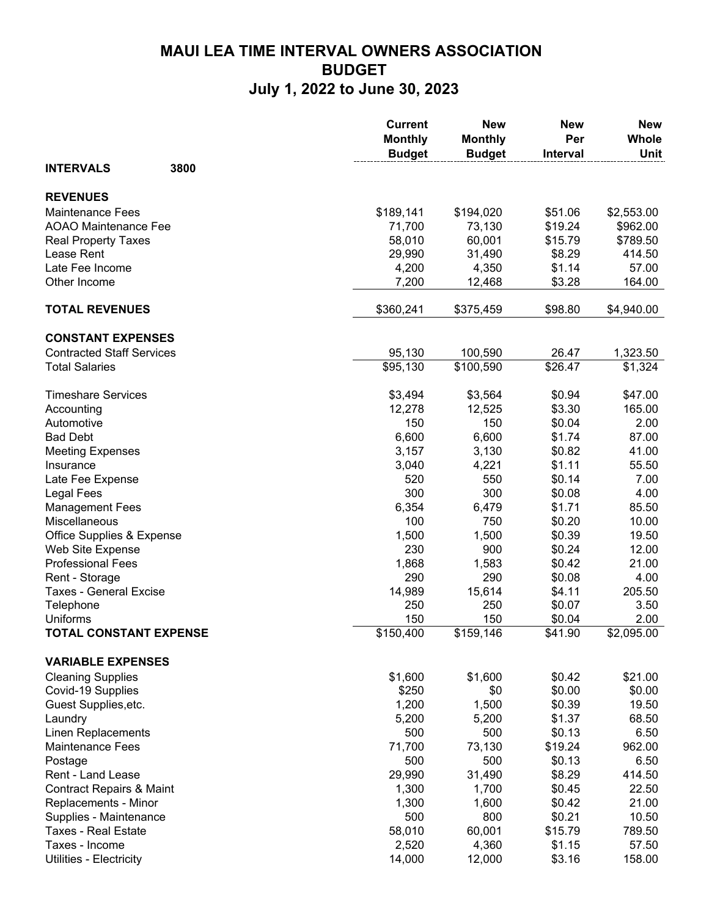## **MAUI LEA TIME INTERVAL OWNERS ASSOCIATION BUDGET July 1, 2022 to June 30, 2023**

|                                     | <b>Current</b><br><b>Monthly</b><br><b>Budget</b> | <b>New</b><br><b>Monthly</b><br><b>Budget</b> | <b>New</b><br>Per<br><b>Interval</b> | <b>New</b><br><b>Whole</b><br>Unit |
|-------------------------------------|---------------------------------------------------|-----------------------------------------------|--------------------------------------|------------------------------------|
| 3800<br><b>INTERVALS</b>            |                                                   |                                               |                                      |                                    |
| <b>REVENUES</b>                     |                                                   |                                               |                                      |                                    |
| <b>Maintenance Fees</b>             | \$189,141                                         | \$194,020                                     | \$51.06                              | \$2,553.00                         |
| <b>AOAO Maintenance Fee</b>         | 71,700                                            | 73,130                                        | \$19.24                              | \$962.00                           |
| <b>Real Property Taxes</b>          | 58,010                                            | 60,001                                        | \$15.79                              | \$789.50                           |
| Lease Rent                          | 29,990                                            | 31,490                                        | \$8.29                               | 414.50                             |
| Late Fee Income                     | 4,200                                             | 4,350                                         | \$1.14                               | 57.00                              |
| Other Income                        | 7,200                                             | 12,468                                        | \$3.28                               | 164.00                             |
| <b>TOTAL REVENUES</b>               | \$360,241                                         | \$375,459                                     | \$98.80                              | \$4,940.00                         |
| <b>CONSTANT EXPENSES</b>            |                                                   |                                               |                                      |                                    |
| <b>Contracted Staff Services</b>    | 95,130                                            | 100,590                                       | 26.47                                | 1,323.50                           |
| <b>Total Salaries</b>               | \$95,130                                          | \$100,590                                     | \$26.47                              | \$1,324                            |
| <b>Timeshare Services</b>           | \$3,494                                           | \$3,564                                       | \$0.94                               | \$47.00                            |
| Accounting                          | 12,278                                            | 12,525                                        | \$3.30                               | 165.00                             |
| Automotive                          | 150                                               | 150                                           | \$0.04                               | 2.00                               |
| <b>Bad Debt</b>                     | 6,600                                             | 6,600                                         | \$1.74                               | 87.00                              |
| <b>Meeting Expenses</b>             | 3,157                                             | 3,130                                         | \$0.82                               | 41.00                              |
| Insurance                           | 3,040                                             | 4,221                                         | \$1.11                               | 55.50                              |
| Late Fee Expense                    | 520                                               | 550                                           | \$0.14                               | 7.00                               |
| <b>Legal Fees</b>                   | 300                                               | 300                                           | \$0.08                               | 4.00                               |
| <b>Management Fees</b>              | 6,354                                             | 6,479                                         | \$1.71                               | 85.50                              |
| Miscellaneous                       | 100                                               | 750                                           | \$0.20                               | 10.00                              |
| Office Supplies & Expense           | 1,500                                             | 1,500                                         | \$0.39                               | 19.50                              |
| Web Site Expense                    | 230                                               | 900                                           | \$0.24                               | 12.00                              |
| <b>Professional Fees</b>            | 1,868                                             | 1,583                                         | \$0.42                               | 21.00                              |
| Rent - Storage                      | 290                                               | 290                                           | \$0.08                               | 4.00                               |
| <b>Taxes - General Excise</b>       | 14,989                                            | 15,614                                        | \$4.11                               | 205.50                             |
| Telephone                           | 250                                               | 250                                           | \$0.07                               | 3.50                               |
| Uniforms                            | 150                                               | 150                                           | \$0.04                               | 2.00                               |
| <b>TOTAL CONSTANT EXPENSE</b>       | \$150,400                                         | $\overline{$159,146}$                         | \$41.90                              | \$2,095.00                         |
| <b>VARIABLE EXPENSES</b>            |                                                   |                                               |                                      |                                    |
| <b>Cleaning Supplies</b>            | \$1,600                                           | \$1,600                                       | \$0.42                               | \$21.00                            |
| Covid-19 Supplies                   | \$250                                             | \$0                                           | \$0.00                               | \$0.00                             |
| Guest Supplies, etc.                | 1,200                                             | 1,500                                         | \$0.39                               | 19.50                              |
| Laundry                             | 5,200                                             | 5,200                                         | \$1.37                               | 68.50                              |
| Linen Replacements                  | 500                                               | 500                                           | \$0.13                               | 6.50                               |
| <b>Maintenance Fees</b>             | 71,700                                            | 73,130                                        | \$19.24                              | 962.00                             |
| Postage                             | 500                                               | 500                                           | \$0.13                               | 6.50                               |
| Rent - Land Lease                   | 29,990                                            | 31,490                                        | \$8.29                               | 414.50                             |
| <b>Contract Repairs &amp; Maint</b> | 1,300                                             | 1,700                                         | \$0.45                               | 22.50                              |
| Replacements - Minor                | 1,300                                             | 1,600                                         | \$0.42                               | 21.00                              |
| Supplies - Maintenance              | 500                                               | 800                                           | \$0.21                               | 10.50                              |
| <b>Taxes - Real Estate</b>          | 58,010                                            | 60,001                                        | \$15.79                              | 789.50                             |
| Taxes - Income                      | 2,520                                             | 4,360                                         | \$1.15                               | 57.50                              |
| Utilities - Electricity             | 14,000                                            | 12,000                                        | \$3.16                               | 158.00                             |